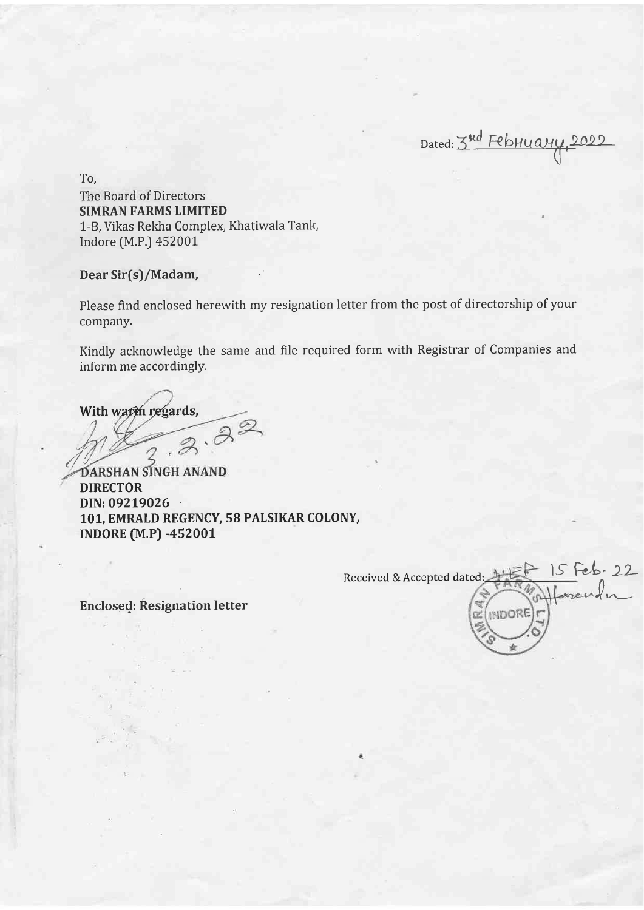Dated: 3nd February, 2022 U

To, The Board of Directors SIMRAN FARMS LIMITED 1-B, Vikas Rekha Complex, Khatiwala Tank, Indore (M.P.) 45200t

## Dear Sir(s)/Madam,

Please find enclosed herewith my resignation letter from the post of directorship of your company.

Kindly acknowledge the same and file required form with Registrar of Companies and inform me accordingly.

With wapph regards,

DIRECTOR DIN: 09219026 · 101, EMRALD REGENCY, 58 PALSIKAR COLONY, TNDORE (M.P) -452O0L DARSHAN SINGH ANAND

Received & Accepted dated: the R-15 Feb-22  $\text{Enclosed:}$  Resignation letter  $\mathbb{Z}_{\text{subOR}}$